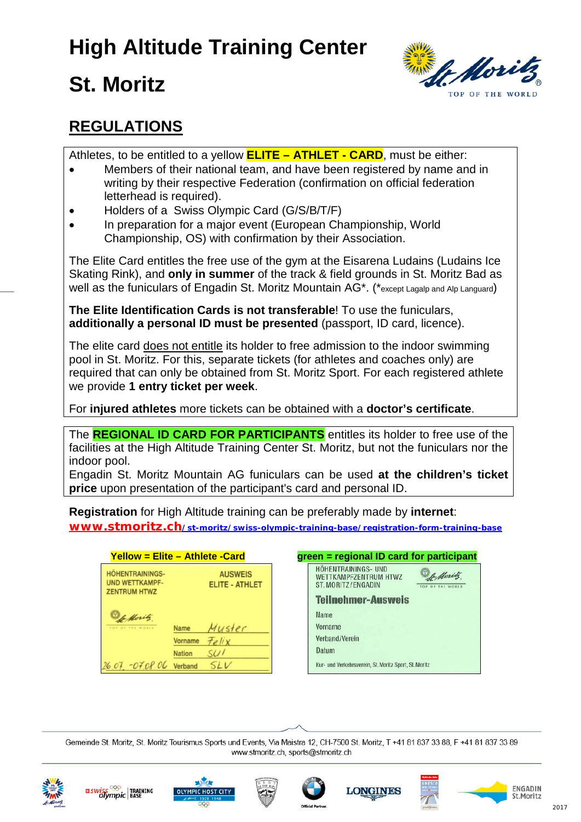# **High Altitude Training Center**

# **St. Moritz**



#### **REGULATIONS**

Athletes, to be entitled to a yellow **ELITE – ATHLET - CARD**, must be either:

- Members of their national team, and have been registered by name and in writing by their respective Federation (confirmation on official federation letterhead is required).
- Holders of a Swiss Olympic Card (G/S/B/T/F)
- In preparation for a major event (European Championship, World Championship, OS) with confirmation by their Association.

The Elite Card entitles the free use of the gym at the Eisarena Ludains (Ludains Ice Skating Rink), and **only in summer** of the track & field grounds in St. Moritz Bad as well as the funiculars of Engadin St. Moritz Mountain AG<sup>\*</sup>. (\*except Lagalp and Alp Languard)

**The Elite Identification Cards is not transferable**! To use the funiculars, **additionally a personal ID must be presented** (passport, ID card, licence).

The elite card does not entitle its holder to free admission to the indoor swimming pool in St. Moritz. For this, separate tickets (for athletes and coaches only) are required that can only be obtained from St. Moritz Sport. For each registered athlete we provide **1 entry ticket per week**.

For **injured athletes** more tickets can be obtained with a **doctor's certificate**.

The **REGIONAL ID CARD FOR PARTICIPANTS** entitles its holder to free use of the facilities at the High Altitude Training Center St. Moritz, but not the funiculars nor the indoor pool.

Engadin St. Moritz Mountain AG funiculars can be used **at the children's ticket price** upon presentation of the participant's card and personal ID.

**Registration** for High Altitude training can be preferably made by **internet**: **[www.stmoritz.ch/st-moritz/swiss-olympic-training-base/registration-form-training-base](https://www.stmoritz.ch/en/st-moritz/swiss-olympic-training-base/registration-form/)**

| <u> Yellow = Elite – Athlete -Card</u>                                 |                |                                         |  |
|------------------------------------------------------------------------|----------------|-----------------------------------------|--|
| <b>HÖHENTRAININGS-</b><br><b>UND WETTKAMPF-</b><br><b>ZENTRUM HTWZ</b> |                | <b>AUSWEIS</b><br><b>ELITE - ATHLET</b> |  |
| o Moritz<br>THE WORLD                                                  | <b>Name</b>    | Muster                                  |  |
|                                                                        | <b>Vorname</b> | Felix                                   |  |
|                                                                        | <b>Nation</b>  | SU <sub>1</sub>                         |  |
| 26.07.07.08.06                                                         | Verband        | SL L                                    |  |

|                                                              | <u> Yellow = Elite – Athlete -Card</u>  | green = regional ID card for participant                                        |
|--------------------------------------------------------------|-----------------------------------------|---------------------------------------------------------------------------------|
| ÖHENTRAININGS-<br><b>ND WETTKAMPF-</b><br><b>ENTRUM HTWZ</b> | <b>AUSWEIS</b><br><b>ELITE - ATHLET</b> | HÖHENTRAININGS- UND<br>of Moritz<br>WETTKAMPFZENTRUM HTWZ<br>ST. MORITZ/ENGADIN |
|                                                              |                                         | <b>Teilnehmer-Ausweis</b>                                                       |
| of Moritz.                                                   |                                         | Name                                                                            |
| OF OF THE WORLD                                              | Muster<br><b>Name</b>                   | <b>Vorname</b>                                                                  |
|                                                              | Felix<br><b>Vorname</b>                 | Verband/Verein                                                                  |
|                                                              | SU <sub>1</sub><br><b>Nation</b>        | Datum                                                                           |
| $07 - 07.08.06$                                              | <i>SLV</i><br>Verband                   | Kur- und Verkehrsverein, St. Moritz Sport, St. Moritz                           |
|                                                              |                                         |                                                                                 |

Gemeinde St. Moritz, St. Moritz Tourismus Sports und Events, Via Maistra 12, CH-7500 St. Moritz, T +41 81 837 33 88, F +41 81 837 33 89 www.stmoritz.ch, sports@stmoritz.ch











ENGADIN

St. Moritz